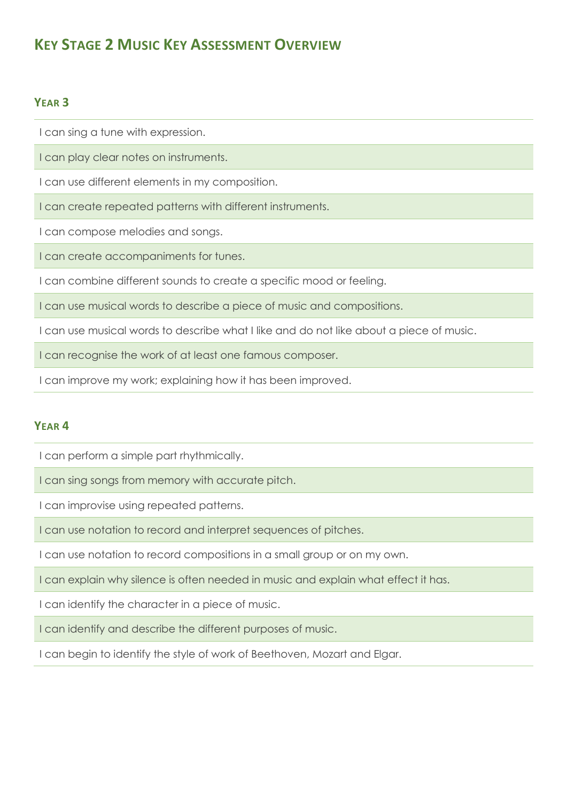# **KEY STAGE 2 MUSIC KEY ASSESSMENT OVERVIEW**

## **YEAR 3**

I can sing a tune with expression.

I can play clear notes on instruments.

I can use different elements in my composition.

I can create repeated patterns with different instruments.

I can compose melodies and songs.

I can create accompaniments for tunes.

I can combine different sounds to create a specific mood or feeling.

I can use musical words to describe a piece of music and compositions.

I can use musical words to describe what I like and do not like about a piece of music.

I can recognise the work of at least one famous composer.

I can improve my work; explaining how it has been improved.

## **YEAR 4**

I can perform a simple part rhythmically.

I can sing songs from memory with accurate pitch.

I can improvise using repeated patterns.

I can use notation to record and interpret sequences of pitches.

I can use notation to record compositions in a small group or on my own.

I can explain why silence is often needed in music and explain what effect it has.

I can identify the character in a piece of music.

I can identify and describe the different purposes of music.

I can begin to identify the style of work of Beethoven, Mozart and Elgar.